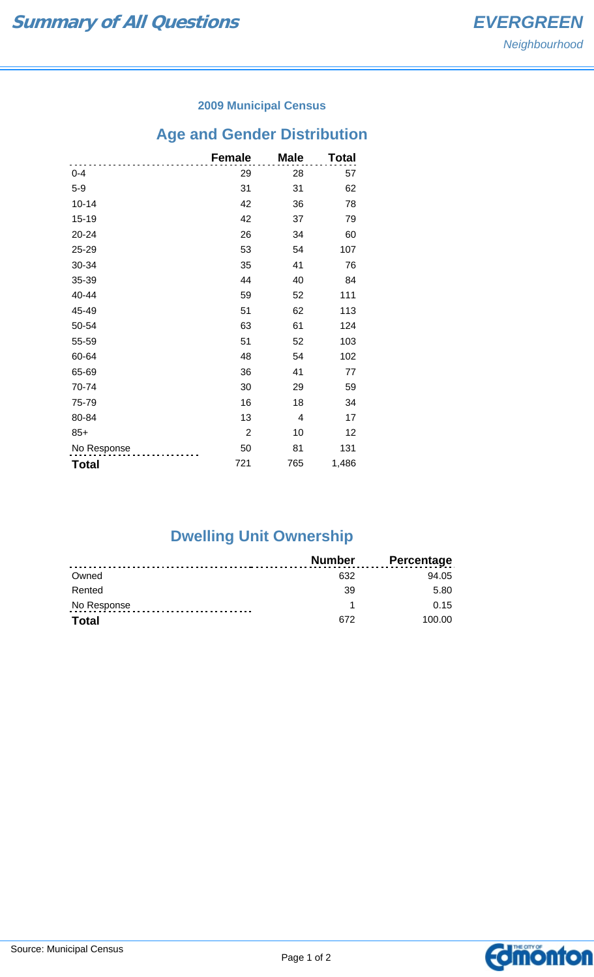#### **2009 Municipal Census**

# **Age and Gender Distribution**

|              | <b>Female</b>  | <b>Male</b> | Total |
|--------------|----------------|-------------|-------|
| $0 - 4$      | 29             | 28          | 57    |
| $5-9$        | 31             | 31          | 62    |
| $10 - 14$    | 42             | 36          | 78    |
| 15-19        | 42             | 37          | 79    |
| 20-24        | 26             | 34          | 60    |
| 25-29        | 53             | 54          | 107   |
| 30-34        | 35             | 41          | 76    |
| 35-39        | 44             | 40          | 84    |
| 40-44        | 59             | 52          | 111   |
| 45-49        | 51             | 62          | 113   |
| 50-54        | 63             | 61          | 124   |
| 55-59        | 51             | 52          | 103   |
| 60-64        | 48             | 54          | 102   |
| 65-69        | 36             | 41          | 77    |
| 70-74        | 30             | 29          | 59    |
| 75-79        | 16             | 18          | 34    |
| 80-84        | 13             | 4           | 17    |
| $85+$        | $\overline{2}$ | 10          | 12    |
| No Response  | 50             | 81          | 131   |
| <b>Total</b> | 721            | 765         | 1,486 |

## **Dwelling Unit Ownership**

|              | <b>Number</b> | <b>Percentage</b> |
|--------------|---------------|-------------------|
| Owned        | 632           | 94.05             |
| Rented       | 39            | 5.80              |
| No Response  |               | 0.15              |
| <b>Total</b> | 672           | 100.00            |